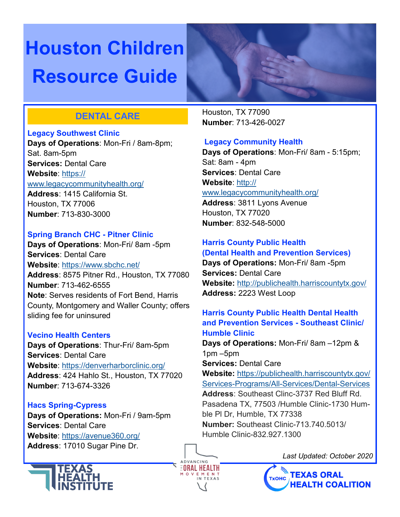# **Houston Children Resource Guide**

## **DENTAL CARE**

#### **Legacy Southwest Clinic**

**Days of Operations**: Mon-Fri / 8am-8pm; Sat. 8am-5pm **Services:** Dental Care **Website**: [https://](https://www.legacycommunityhealth.org/) [www.legacycommunityhealth.org/](https://www.legacycommunityhealth.org/)

**Address**: 1415 California St. Houston, TX 77006 **Number**: 713-830-3000

#### **Spring Branch CHC - Pitner Clinic**

**Days of Operations**: Mon-Fri/ 8am -5pm **Services**: Dental Care **Website**: <https://www.sbchc.net/> **Address**: 8575 Pitner Rd., Houston, TX 77080 **Number**: 713-462-6555 **Note**: Serves residents of Fort Bend, Harris County, Montgomery and Waller County; offers sliding fee for uninsured

#### **Vecino Health Centers**

**Days of Operations**: Thur-Fri/ 8am-5pm **Services**: Dental Care **Website**: <https://denverharborclinic.org/> **Address**: 424 Hahlo St., Houston, TX 77020 **Number**: 713-674-3326

#### **Hacs Spring-Cypress**

**Days of Operations:** Mon-Fri / 9am-5pm **Services**: Dental Care **Website**: <https://avenue360.org/> **Address**: 17010 Sugar Pine Dr.



Houston, TX 77090 **Number**: 713-426-0027

#### **Legacy Community Health**

**Days of Operations**: Mon-Fri/ 8am - 5:15pm; Sat: 8am - 4pm **Services**: Dental Care **Website**: [http://](http://www.legacycommunityhealth.org/) [www.legacycommunityhealth.org/](http://www.legacycommunityhealth.org/)

**Address**: 3811 Lyons Avenue Houston, TX 77020 **Number**: 832-548-5000

### **Harris County Public Health (Dental Health and Prevention Services)**

**Days of Operations:** Mon-Fri/ 8am -5pm **Services:** Dental Care **Website:** <http://publichealth.harriscountytx.gov/> **Address:** 2223 West Loop

#### **Harris County Public Health Dental Health and Prevention Services - Southeast Clinic/ Humble Clinic**

**Days of Operations:** Mon-Fri/ 8am –12pm & 1pm –5pm

**Services:** Dental Care

**Website:** https://publichealth.harriscountytx.gov/ Services-Programs/All-Services/Dental-Services **Address**: Southeast Clinc-3737 Red Bluff Rd. Pasadena TX, 77503 /Humble Clinic-1730 Humble Pl Dr, Humble, TX 77338 **Number:** Southeast Clinic-713.740.5013/ Humble Clinic-832.927.1300

ADVANCINO *EORAL HEALTH*  *Last Updated: October 2020*

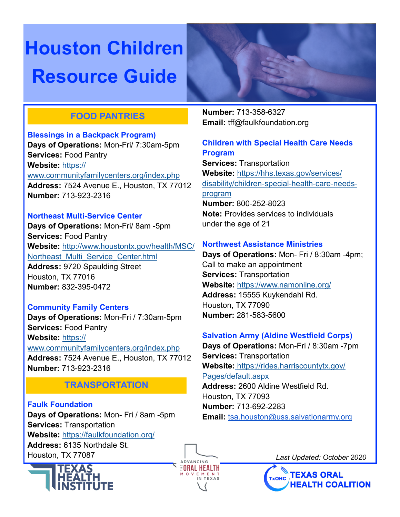# **Houston Children Resource Guide**

## **FOOD PANTRIES**

#### **Blessings in a Backpack Program)**

**Days of Operations:** Mon-Fri/ 7:30am-5pm **Services:** Food Pantry **Website:** [https://](https://www.communityfamilycenters.org/index.php) [www.communityfamilycenters.org/index.php](https://www.communityfamilycenters.org/index.php) **Address:** 7524 Avenue E., Houston, TX 77012 **Number:** 713-923-2316

#### **Northeast Multi-Service Center**

**Days of Operations:** Mon-Fri/ 8am -5pm **Services:** Food Pantry **Website:** [http://www.houstontx.gov/health/MSC/](http://www.houstontx.gov/health/MSC/Northeast_Multi_Service_Center.html) [Northeast\\_Multi\\_Service\\_Center.html](http://www.houstontx.gov/health/MSC/Northeast_Multi_Service_Center.html) **Address:** 9720 Spaulding Street Houston, TX 77016 **Number:** 832-395-0472

#### **Community Family Centers**

**Days of Operations:** Mon-Fri / 7:30am-5pm **Services:** Food Pantry **Website:** [https://](https://www.communityfamilycenters.org/index.php)

[www.communityfamilycenters.org/index.php](https://www.communityfamilycenters.org/index.php) **Address:** 7524 Avenue E., Houston, TX 77012 **Number:** 713-923-2316

## **TRANSPORTATION**

**Faulk Foundation Days of Operations:** Mon- Fri / 8am -5pm **Services:** Transportation **Website:** <https://faulkfoundation.org/> **Address:** 6135 Northdale St. Houston, TX 77087



**Number:** 713-358-6327 **Email:** tff@faulkfoundation.org

#### **Children with Special Health Care Needs Program**

**Services:** Transportation **Website:** [https://hhs.texas.gov/services/](https://hhs.texas.gov/services/disability/children-special-health-care-needs-program) [disability/children](https://hhs.texas.gov/services/disability/children-special-health-care-needs-program)-special-health-care-needs[program](https://hhs.texas.gov/services/disability/children-special-health-care-needs-program) **Number:** 800-252-8023 **Note:** Provides services to individuals under the age of 21

#### **Northwest Assistance Ministries**

**Days of Operations:** Mon- Fri / 8:30am -4pm; Call to make an appointment **Services:** Transportation **Website:** <https://www.namonline.org/> **Address:** 15555 Kuykendahl Rd. Houston, TX 77090 **Number:** 281-583-5600

#### **Salvation Army (Aldine Westfield Corps)**

**Days of Operations:** Mon-Fri / 8:30am -7pm **Services:** Transportation **Website:** [https://rides.harriscountytx.gov/](https://rides.harriscountytx.gov/Pages/default.aspx) [Pages/default.aspx](https://rides.harriscountytx.gov/Pages/default.aspx) **Address:** 2600 Aldine Westfield Rd. Houston, TX 77093 **Number:** 713-692-2283 **Email:** tsa.houston@uss.salvationarmy.org



*Last Updated: October 2020*